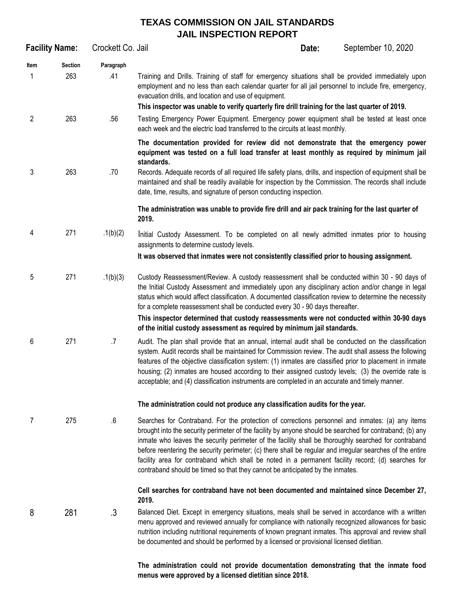## **TEXAS COMMISSION ON JAIL STANDARDS JAIL INSPECTION REPORT**

|           | <b>Facility Name:</b> | Crockett Co. Jail |                                                                                                                                                                                                                                                                                                                                                                                                                                                                                                                                                                                                                         | Date: | September 10, 2020 |
|-----------|-----------------------|-------------------|-------------------------------------------------------------------------------------------------------------------------------------------------------------------------------------------------------------------------------------------------------------------------------------------------------------------------------------------------------------------------------------------------------------------------------------------------------------------------------------------------------------------------------------------------------------------------------------------------------------------------|-------|--------------------|
| Item<br>1 | <b>Section</b><br>263 | Paragraph<br>.41  | Training and Drills. Training of staff for emergency situations shall be provided immediately upon<br>employment and no less than each calendar quarter for all jail personnel to include fire, emergency,<br>evacuation drills, and location and use of equipment.<br>This inspector was unable to verify quarterly fire drill training for the last quarter of 2019.                                                                                                                                                                                                                                                  |       |                    |
| 2         | 263                   | .56               | Testing Emergency Power Equipment. Emergency power equipment shall be tested at least once<br>each week and the electric load transferred to the circuits at least monthly.                                                                                                                                                                                                                                                                                                                                                                                                                                             |       |                    |
|           |                       |                   | The documentation provided for review did not demonstrate that the emergency power<br>equipment was tested on a full load transfer at least monthly as required by minimum jail<br>standards.                                                                                                                                                                                                                                                                                                                                                                                                                           |       |                    |
| 3         | 263                   | .70               | Records. Adequate records of all required life safety plans, drills, and inspection of equipment shall be<br>maintained and shall be readily available for inspection by the Commission. The records shall include<br>date, time, results, and signature of person conducting inspection.                                                                                                                                                                                                                                                                                                                               |       |                    |
|           |                       |                   | The administration was unable to provide fire drill and air pack training for the last quarter of<br>2019.                                                                                                                                                                                                                                                                                                                                                                                                                                                                                                              |       |                    |
| 4         | 271                   | .1(b)(2)          | Initial Custody Assessment. To be completed on all newly admitted inmates prior to housing<br>assignments to determine custody levels.                                                                                                                                                                                                                                                                                                                                                                                                                                                                                  |       |                    |
|           |                       |                   | It was observed that inmates were not consistently classified prior to housing assignment.                                                                                                                                                                                                                                                                                                                                                                                                                                                                                                                              |       |                    |
| 5         | 271                   | .1(b)(3)          | Custody Reassessment/Review. A custody reassessment shall be conducted within 30 - 90 days of<br>the Initial Custody Assessment and immediately upon any disciplinary action and/or change in legal<br>status which would affect classification. A documented classification review to determine the necessity<br>for a complete reassessment shall be conducted every 30 - 90 days thereafter.                                                                                                                                                                                                                         |       |                    |
|           |                       |                   | This inspector determined that custody reassessments were not conducted within 30-90 days<br>of the initial custody assessment as required by minimum jail standards.                                                                                                                                                                                                                                                                                                                                                                                                                                                   |       |                    |
| 6         | 271                   | $.7\,$            | Audit. The plan shall provide that an annual, internal audit shall be conducted on the classification<br>system. Audit records shall be maintained for Commission review. The audit shall assess the following<br>features of the objective classification system: (1) inmates are classified prior to placement in inmate<br>housing; (2) inmates are housed according to their assigned custody levels; (3) the override rate is<br>acceptable; and (4) classification instruments are completed in an accurate and timely manner.                                                                                    |       |                    |
|           |                       |                   | The administration could not produce any classification audits for the year.                                                                                                                                                                                                                                                                                                                                                                                                                                                                                                                                            |       |                    |
| 7         | 275                   | $6\,$             | Searches for Contraband. For the protection of corrections personnel and inmates: (a) any items<br>brought into the security perimeter of the facility by anyone should be searched for contraband; (b) any<br>inmate who leaves the security perimeter of the facility shall be thoroughly searched for contraband<br>before reentering the security perimeter; (c) there shall be regular and irregular searches of the entire<br>facility area for contraband which shall be noted in a permanent facility record; (d) searches for<br>contraband should be timed so that they cannot be anticipated by the inmates. |       |                    |
|           |                       |                   | Cell searches for contraband have not been documented and maintained since December 27,<br>2019.                                                                                                                                                                                                                                                                                                                                                                                                                                                                                                                        |       |                    |
| 8         | 281                   | .3                | Balanced Diet. Except in emergency situations, meals shall be served in accordance with a written<br>menu approved and reviewed annually for compliance with nationally recognized allowances for basic<br>nutrition including nutritional requirements of known pregnant inmates. This approval and review shall<br>be documented and should be performed by a licensed or provisional licensed dietitian.                                                                                                                                                                                                             |       |                    |
|           |                       |                   | The administration could not provide documentation demonstrating that the inmate food                                                                                                                                                                                                                                                                                                                                                                                                                                                                                                                                   |       |                    |

**menus were approved by a licensed dietitian since 2018.**